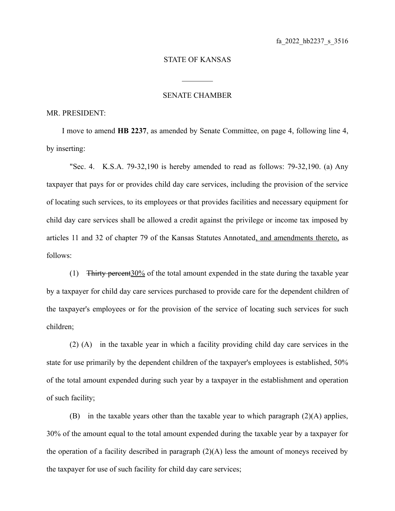## STATE OF KANSAS

 $\mathcal{L}_\text{max}$ 

## SENATE CHAMBER

## MR. PRESIDENT:

I move to amend **HB 2237**, as amended by Senate Committee, on page 4, following line 4, by inserting:

"Sec. 4. K.S.A. 79-32,190 is hereby amended to read as follows: 79-32,190. (a) Any taxpayer that pays for or provides child day care services, including the provision of the service of locating such services, to its employees or that provides facilities and necessary equipment for child day care services shall be allowed a credit against the privilege or income tax imposed by articles 11 and 32 of chapter 79 of the Kansas Statutes Annotated, and amendments thereto, as follows:

(1) Thirty percent30% of the total amount expended in the state during the taxable year by a taxpayer for child day care services purchased to provide care for the dependent children of the taxpayer's employees or for the provision of the service of locating such services for such children;

(2) (A) in the taxable year in which a facility providing child day care services in the state for use primarily by the dependent children of the taxpayer's employees is established, 50% of the total amount expended during such year by a taxpayer in the establishment and operation of such facility;

(B) in the taxable years other than the taxable year to which paragraph (2)(A) applies, 30% of the amount equal to the total amount expended during the taxable year by a taxpayer for the operation of a facility described in paragraph  $(2)(A)$  less the amount of moneys received by the taxpayer for use of such facility for child day care services;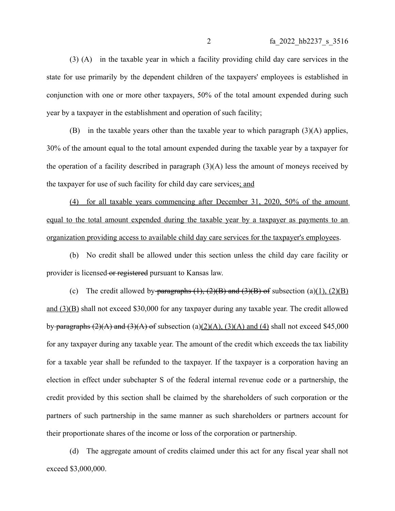(3) (A) in the taxable year in which a facility providing child day care services in the state for use primarily by the dependent children of the taxpayers' employees is established in conjunction with one or more other taxpayers, 50% of the total amount expended during such year by a taxpayer in the establishment and operation of such facility;

(B) in the taxable years other than the taxable year to which paragraph (3)(A) applies, 30% of the amount equal to the total amount expended during the taxable year by a taxpayer for the operation of a facility described in paragraph  $(3)(A)$  less the amount of moneys received by the taxpayer for use of such facility for child day care services; and

(4) for all taxable years commencing after December 31, 2020, 50% of the amount equal to the total amount expended during the taxable year by a taxpayer as payments to an organization providing access to available child day care services for the taxpayer's employees.

(b) No credit shall be allowed under this section unless the child day care facility or provider is licensed or registered pursuant to Kansas law.

(c) The credit allowed by paragraphs  $(1)$ ,  $(2)(B)$  and  $(3)(B)$  of subsection  $(a)(1)$ ,  $(2)(B)$ and (3)(B) shall not exceed \$30,000 for any taxpayer during any taxable year. The credit allowed by paragraphs  $(2)(A)$  and  $(3)(A)$  of subsection (a)(2)(A), (3)(A) and (4) shall not exceed \$45,000 for any taxpayer during any taxable year. The amount of the credit which exceeds the tax liability for a taxable year shall be refunded to the taxpayer. If the taxpayer is a corporation having an election in effect under subchapter S of the federal internal revenue code or a partnership, the credit provided by this section shall be claimed by the shareholders of such corporation or the partners of such partnership in the same manner as such shareholders or partners account for their proportionate shares of the income or loss of the corporation or partnership.

(d) The aggregate amount of credits claimed under this act for any fiscal year shall not exceed \$3,000,000.